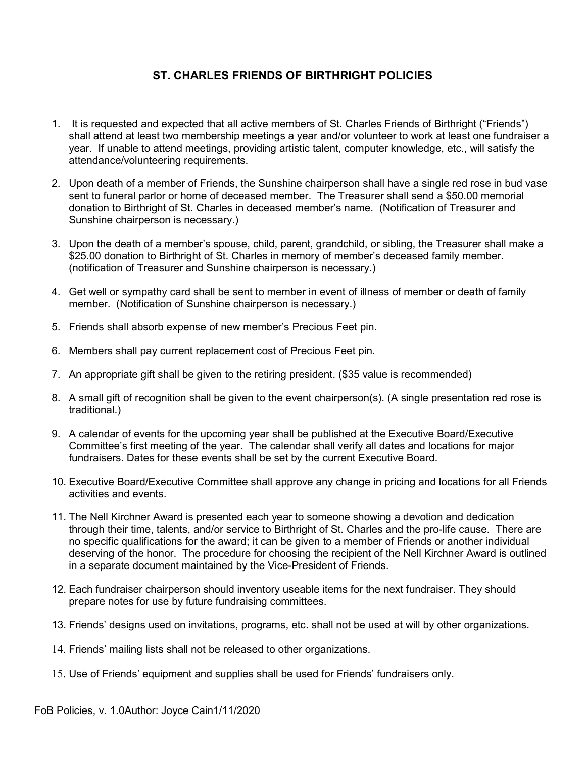## ST. CHARLES FRIENDS OF BIRTHRIGHT POLICIES

- 1. It is requested and expected that all active members of St. Charles Friends of Birthright ("Friends") shall attend at least two membership meetings a year and/or volunteer to work at least one fundraiser a year. If unable to attend meetings, providing artistic talent, computer knowledge, etc., will satisfy the attendance/volunteering requirements.
- 2. Upon death of a member of Friends, the Sunshine chairperson shall have a single red rose in bud vase sent to funeral parlor or home of deceased member. The Treasurer shall send a \$50.00 memorial donation to Birthright of St. Charles in deceased member's name. (Notification of Treasurer and Sunshine chairperson is necessary.)
- 3. Upon the death of a member's spouse, child, parent, grandchild, or sibling, the Treasurer shall make a \$25.00 donation to Birthright of St. Charles in memory of member's deceased family member. (notification of Treasurer and Sunshine chairperson is necessary.)
- 4. Get well or sympathy card shall be sent to member in event of illness of member or death of family member. (Notification of Sunshine chairperson is necessary.)
- 5. Friends shall absorb expense of new member's Precious Feet pin.
- 6. Members shall pay current replacement cost of Precious Feet pin.
- 7. An appropriate gift shall be given to the retiring president. (\$35 value is recommended)
- 8. A small gift of recognition shall be given to the event chairperson(s). (A single presentation red rose is traditional.)
- 9. A calendar of events for the upcoming year shall be published at the Executive Board/Executive Committee's first meeting of the year. The calendar shall verify all dates and locations for major fundraisers. Dates for these events shall be set by the current Executive Board.
- 10. Executive Board/Executive Committee shall approve any change in pricing and locations for all Friends activities and events.
- 11. The Nell Kirchner Award is presented each year to someone showing a devotion and dedication through their time, talents, and/or service to Birthright of St. Charles and the pro-life cause. There are no specific qualifications for the award; it can be given to a member of Friends or another individual deserving of the honor. The procedure for choosing the recipient of the Nell Kirchner Award is outlined in a separate document maintained by the Vice-President of Friends.
- 12. Each fundraiser chairperson should inventory useable items for the next fundraiser. They should prepare notes for use by future fundraising committees.
- 13. Friends' designs used on invitations, programs, etc. shall not be used at will by other organizations.
- 14. Friends' mailing lists shall not be released to other organizations.
- 15. Use of Friends' equipment and supplies shall be used for Friends' fundraisers only.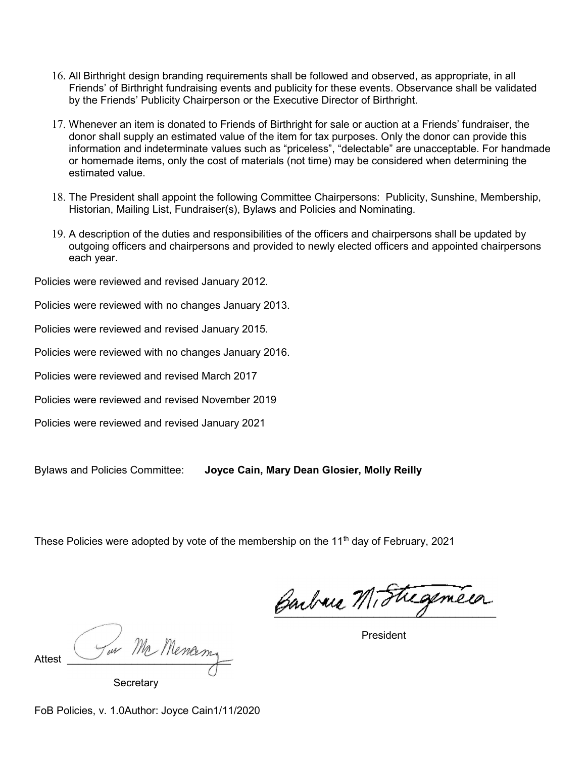- 16. All Birthright design branding requirements shall be followed and observed, as appropriate, in all Friends' of Birthright fundraising events and publicity for these events. Observance shall be validated by the Friends' Publicity Chairperson or the Executive Director of Birthright.
- 17. Whenever an item is donated to Friends of Birthright for sale or auction at a Friends' fundraiser, the donor shall supply an estimated value of the item for tax purposes. Only the donor can provide this information and indeterminate values such as "priceless", "delectable" are unacceptable. For handmade or homemade items, only the cost of materials (not time) may be considered when determining the estimated value.
- 18. The President shall appoint the following Committee Chairpersons: Publicity, Sunshine, Membership, Historian, Mailing List, Fundraiser(s), Bylaws and Policies and Nominating.
- 19. A description of the duties and responsibilities of the officers and chairpersons shall be updated by outgoing officers and chairpersons and provided to newly elected officers and appointed chairpersons each year.

Policies were reviewed and revised January 2012.

Policies were reviewed with no changes January 2013.

Policies were reviewed and revised January 2015.

Policies were reviewed with no changes January 2016.

Policies were reviewed and revised March 2017

Policies were reviewed and revised November 2019

Policies were reviewed and revised January 2021

Bylaws and Policies Committee: Joyce Cain, Mary Dean Glosier, Molly Reilly

These Policies were adopted by vote of the membership on the 11<sup>th</sup> day of February, 2021

Barbara Mistregemen

**President** Attest  $\overline{\phantom{a}}$ 

**Secretary** 

FoB Policies, v. 1.0Author: Joyce Cain1/11/2020